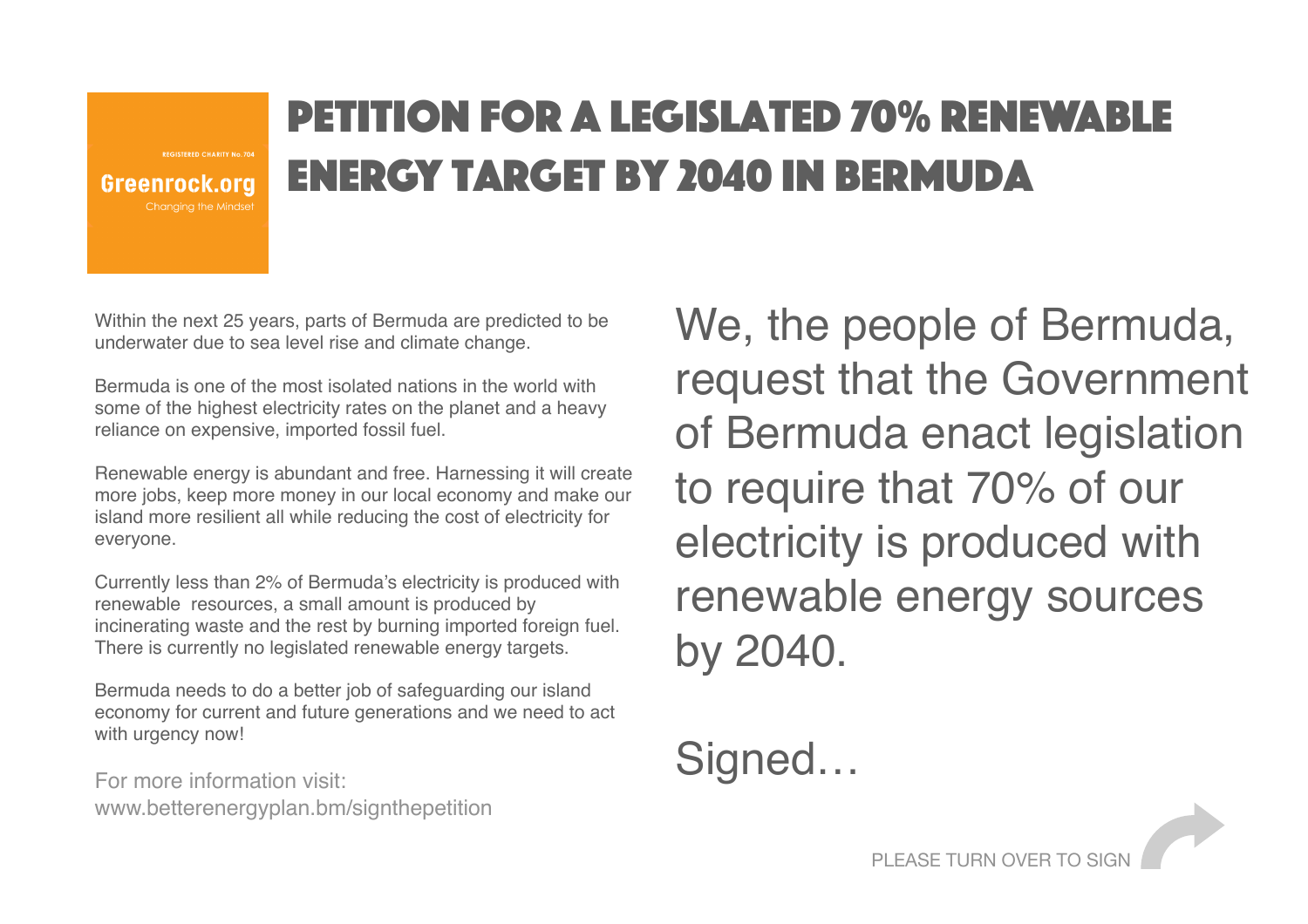Greenrock.org Chanaina the Mindset

## Petition for a legislated 70% renewable energy target by 2040 in Bermuda

Within the next 25 years, parts of Bermuda are predicted to be underwater due to sea level rise and climate change.

Bermuda is one of the most isolated nations in the world with some of the highest electricity rates on the planet and a heavy reliance on expensive, imported fossil fuel.

Renewable energy is abundant and free. Harnessing it will create more jobs, keep more money in our local economy and make our island more resilient all while reducing the cost of electricity for everyone.

Currently less than 2% of Bermuda's electricity is produced with renewable resources, a small amount is produced by incinerating waste and the rest by burning imported foreign fuel. There is currently no legislated renewable energy targets.

Bermuda needs to do a better job of safeguarding our island economy for current and future generations and we need to act with urgency now!

For more information visit: www.betterenergyplan.bm/signthepetition We, the people of Bermuda, request that the Government of Bermuda enact legislation to require that 70% of our electricity is produced with renewable energy sources by 2040.